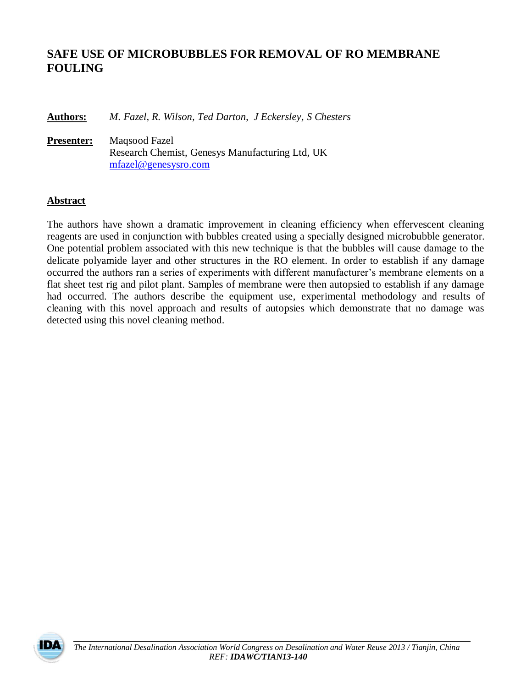# **SAFE USE OF MICROBUBBLES FOR REMOVAL OF RO MEMBRANE FOULING**

**Authors:** *M. Fazel, R. Wilson, Ted Darton, J Eckersley, S Chesters*

**Presenter:** Maqsood Fazel Research Chemist, Genesys Manufacturing Ltd, UK [mfazel@genesysro.com](mailto:mfazel@genesysro.com)

### **Abstract**

The authors have shown a dramatic improvement in cleaning efficiency when effervescent cleaning reagents are used in conjunction with bubbles created using a specially designed microbubble generator. One potential problem associated with this new technique is that the bubbles will cause damage to the delicate polyamide layer and other structures in the RO element. In order to establish if any damage occurred the authors ran a series of experiments with different manufacturer's membrane elements on a flat sheet test rig and pilot plant. Samples of membrane were then autopsied to establish if any damage had occurred. The authors describe the equipment use, experimental methodology and results of cleaning with this novel approach and results of autopsies which demonstrate that no damage was detected using this novel cleaning method.

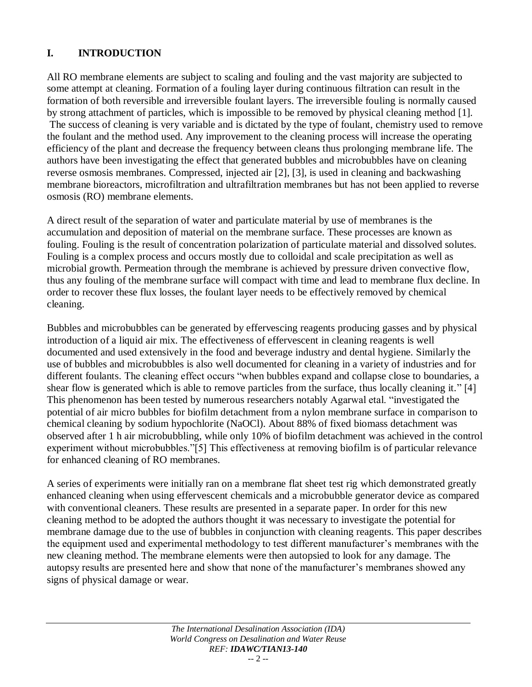## **I. INTRODUCTION**

All RO membrane elements are subject to scaling and fouling and the vast majority are subjected to some attempt at cleaning. Formation of a fouling layer during continuous filtration can result in the formation of both reversible and irreversible foulant layers. The irreversible fouling is normally caused by strong attachment of particles, which is impossible to be removed by physical cleaning method [1]. The success of cleaning is very variable and is dictated by the type of foulant, chemistry used to remove the foulant and the method used. Any improvement to the cleaning process will increase the operating efficiency of the plant and decrease the frequency between cleans thus prolonging membrane life. The authors have been investigating the effect that generated bubbles and microbubbles have on cleaning reverse osmosis membranes. Compressed, injected air [2], [3], is used in cleaning and backwashing membrane bioreactors, microfiltration and ultrafiltration membranes but has not been applied to reverse osmosis (RO) membrane elements.

A direct result of the separation of water and particulate material by use of membranes is the accumulation and deposition of material on the membrane surface. These processes are known as fouling. Fouling is the result of concentration polarization of particulate material and dissolved solutes. Fouling is a complex process and occurs mostly due to colloidal and scale precipitation as well as microbial growth. Permeation through the membrane is achieved by pressure driven convective flow, thus any fouling of the membrane surface will compact with time and lead to membrane flux decline. In order to recover these flux losses, the foulant layer needs to be effectively removed by chemical cleaning.

Bubbles and microbubbles can be generated by effervescing reagents producing gasses and by physical introduction of a liquid air mix. The effectiveness of effervescent in cleaning reagents is well documented and used extensively in the food and beverage industry and dental hygiene. Similarly the use of bubbles and microbubbles is also well documented for cleaning in a variety of industries and for different foulants. The cleaning effect occurs "when bubbles expand and collapse close to boundaries, a shear flow is generated which is able to remove particles from the surface, thus locally cleaning it." [4] This phenomenon has been tested by numerous researchers notably Agarwal etal. "investigated the potential of air micro bubbles for biofilm detachment from a nylon membrane surface in comparison to chemical cleaning by sodium hypochlorite (NaOCl). About 88% of fixed biomass detachment was observed after 1 h air microbubbling, while only 10% of biofilm detachment was achieved in the control experiment without microbubbles."[5] This effectiveness at removing biofilm is of particular relevance for enhanced cleaning of RO membranes.

A series of experiments were initially ran on a membrane flat sheet test rig which demonstrated greatly enhanced cleaning when using effervescent chemicals and a microbubble generator device as compared with conventional cleaners. These results are presented in a separate paper. In order for this new cleaning method to be adopted the authors thought it was necessary to investigate the potential for membrane damage due to the use of bubbles in conjunction with cleaning reagents. This paper describes the equipment used and experimental methodology to test different manufacturer's membranes with the new cleaning method. The membrane elements were then autopsied to look for any damage. The autopsy results are presented here and show that none of the manufacturer's membranes showed any signs of physical damage or wear.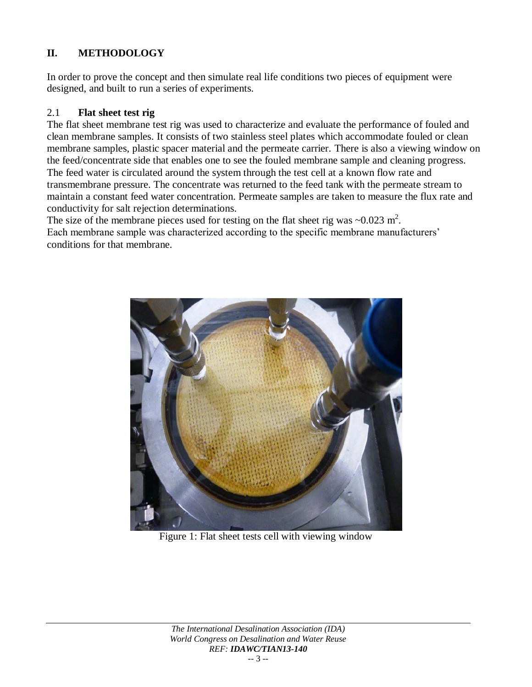## **II. METHODOLOGY**

In order to prove the concept and then simulate real life conditions two pieces of equipment were designed, and built to run a series of experiments.

### 2.1 **Flat sheet test rig**

The flat sheet membrane test rig was used to characterize and evaluate the performance of fouled and clean membrane samples. It consists of two stainless steel plates which accommodate fouled or clean membrane samples, plastic spacer material and the permeate carrier. There is also a viewing window on the feed/concentrate side that enables one to see the fouled membrane sample and cleaning progress. The feed water is circulated around the system through the test cell at a known flow rate and transmembrane pressure. The concentrate was returned to the feed tank with the permeate stream to maintain a constant feed water concentration. Permeate samples are taken to measure the flux rate and conductivity for salt rejection determinations.

The size of the membrane pieces used for testing on the flat sheet rig was  $\sim 0.023$  m<sup>2</sup>. Each membrane sample was characterized according to the specific membrane manufacturers' conditions for that membrane.



Figure 1: Flat sheet tests cell with viewing window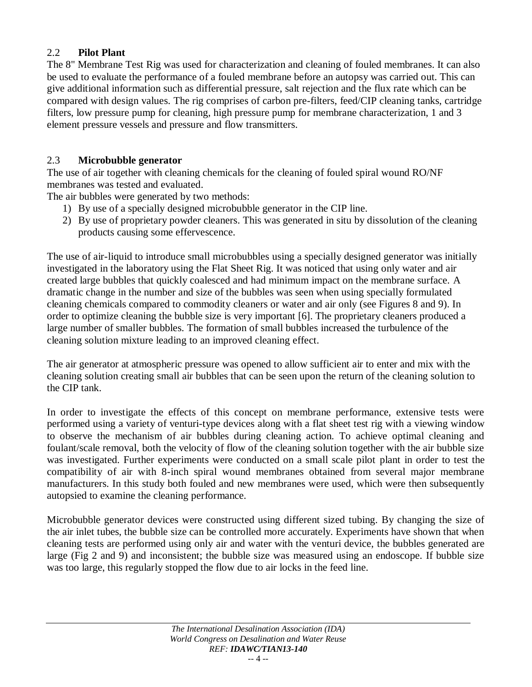## 2.2 **Pilot Plant**

The 8" Membrane Test Rig was used for characterization and cleaning of fouled membranes. It can also be used to evaluate the performance of a fouled membrane before an autopsy was carried out. This can give additional information such as differential pressure, salt rejection and the flux rate which can be compared with design values. The rig comprises of carbon pre-filters, feed/CIP cleaning tanks, cartridge filters, low pressure pump for cleaning, high pressure pump for membrane characterization, 1 and 3 element pressure vessels and pressure and flow transmitters.

### 2.3 **Microbubble generator**

The use of air together with cleaning chemicals for the cleaning of fouled spiral wound RO/NF membranes was tested and evaluated.

The air bubbles were generated by two methods:

- 1) By use of a specially designed microbubble generator in the CIP line.
- 2) By use of proprietary powder cleaners. This was generated in situ by dissolution of the cleaning products causing some effervescence.

The use of air-liquid to introduce small microbubbles using a specially designed generator was initially investigated in the laboratory using the Flat Sheet Rig. It was noticed that using only water and air created large bubbles that quickly coalesced and had minimum impact on the membrane surface. A dramatic change in the number and size of the bubbles was seen when using specially formulated cleaning chemicals compared to commodity cleaners or water and air only (see Figures 8 and 9). In order to optimize cleaning the bubble size is very important [6]. The proprietary cleaners produced a large number of smaller bubbles. The formation of small bubbles increased the turbulence of the cleaning solution mixture leading to an improved cleaning effect.

The air generator at atmospheric pressure was opened to allow sufficient air to enter and mix with the cleaning solution creating small air bubbles that can be seen upon the return of the cleaning solution to the CIP tank.

In order to investigate the effects of this concept on membrane performance, extensive tests were performed using a variety of venturi-type devices along with a flat sheet test rig with a viewing window to observe the mechanism of air bubbles during cleaning action. To achieve optimal cleaning and foulant/scale removal, both the velocity of flow of the cleaning solution together with the air bubble size was investigated. Further experiments were conducted on a small scale pilot plant in order to test the compatibility of air with 8-inch spiral wound membranes obtained from several major membrane manufacturers. In this study both fouled and new membranes were used, which were then subsequently autopsied to examine the cleaning performance.

Microbubble generator devices were constructed using different sized tubing. By changing the size of the air inlet tubes, the bubble size can be controlled more accurately. Experiments have shown that when cleaning tests are performed using only air and water with the venturi device, the bubbles generated are large (Fig 2 and 9) and inconsistent; the bubble size was measured using an endoscope. If bubble size was too large, this regularly stopped the flow due to air locks in the feed line.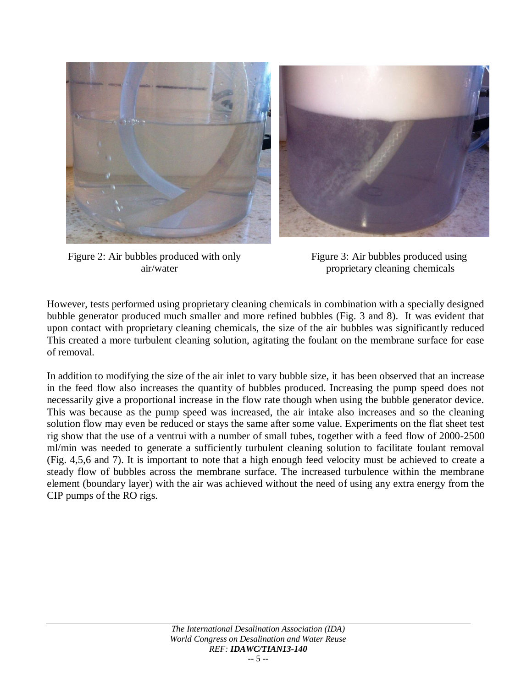

Figure 2: Air bubbles produced with only Figure 3: Air bubbles produced using

air/water proprietary cleaning chemicals

However, tests performed using proprietary cleaning chemicals in combination with a specially designed bubble generator produced much smaller and more refined bubbles (Fig. 3 and 8). It was evident that upon contact with proprietary cleaning chemicals, the size of the air bubbles was significantly reduced This created a more turbulent cleaning solution, agitating the foulant on the membrane surface for ease of removal.

In addition to modifying the size of the air inlet to vary bubble size, it has been observed that an increase in the feed flow also increases the quantity of bubbles produced. Increasing the pump speed does not necessarily give a proportional increase in the flow rate though when using the bubble generator device. This was because as the pump speed was increased, the air intake also increases and so the cleaning solution flow may even be reduced or stays the same after some value. Experiments on the flat sheet test rig show that the use of a ventrui with a number of small tubes, together with a feed flow of 2000-2500 ml/min was needed to generate a sufficiently turbulent cleaning solution to facilitate foulant removal (Fig. 4,5,6 and 7). It is important to note that a high enough feed velocity must be achieved to create a steady flow of bubbles across the membrane surface. The increased turbulence within the membrane element (boundary layer) with the air was achieved without the need of using any extra energy from the CIP pumps of the RO rigs.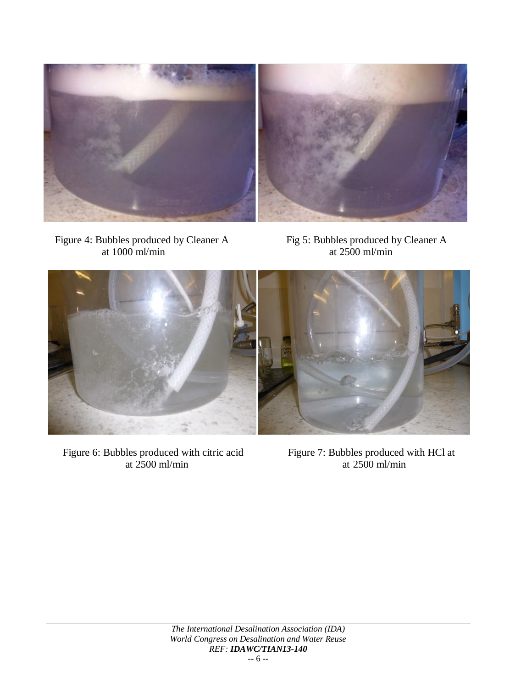

Figure 4: Bubbles produced by Cleaner A<br>at 1000 ml/min at 2500 ml/min at  $1000$  ml/min



Figure 6: Bubbles produced with citric acid Figure 7: Bubbles produced with HCl at at 2500 ml/min at 2500 ml/min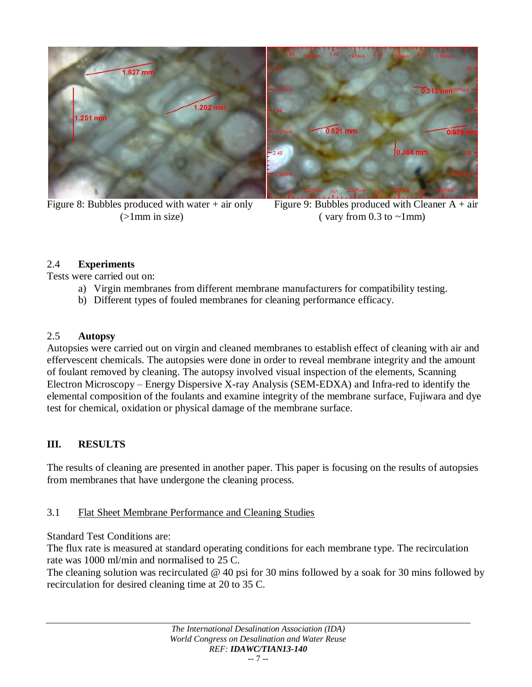

Figure 8: Bubbles produced with water + air only Figure 9: Bubbles produced with Cleaner  $A + air$ 



( $>1$ mm in size) (vary from 0.3 to  $\sim$ 1mm)

## 2.4 **Experiments**

Tests were carried out on:

- a) Virgin membranes from different membrane manufacturers for compatibility testing.
- b) Different types of fouled membranes for cleaning performance efficacy.

## 2.5 **Autopsy**

Autopsies were carried out on virgin and cleaned membranes to establish effect of cleaning with air and effervescent chemicals. The autopsies were done in order to reveal membrane integrity and the amount of foulant removed by cleaning. The autopsy involved visual inspection of the elements, Scanning Electron Microscopy – Energy Dispersive X-ray Analysis (SEM-EDXA) and Infra-red to identify the elemental composition of the foulants and examine integrity of the membrane surface, Fujiwara and dye test for chemical, oxidation or physical damage of the membrane surface.

## **III. RESULTS**

The results of cleaning are presented in another paper. This paper is focusing on the results of autopsies from membranes that have undergone the cleaning process.

## 3.1 Flat Sheet Membrane Performance and Cleaning Studies

Standard Test Conditions are:

The flux rate is measured at standard operating conditions for each membrane type. The recirculation rate was 1000 ml/min and normalised to 25 C.

The cleaning solution was recirculated @ 40 psi for 30 mins followed by a soak for 30 mins followed by recirculation for desired cleaning time at 20 to 35 C.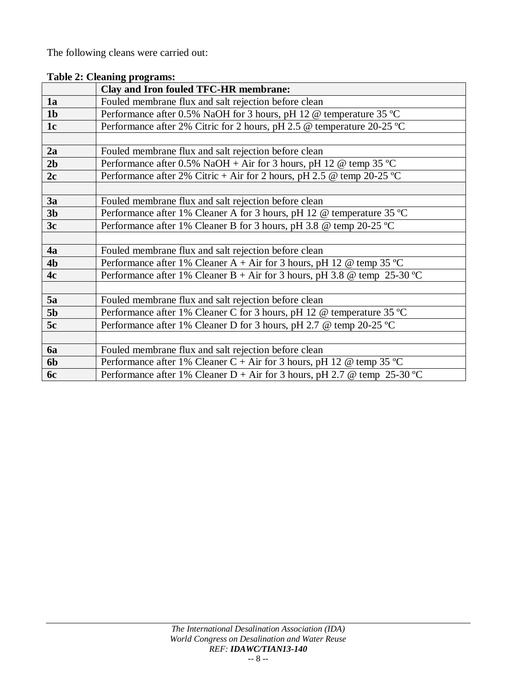The following cleans were carried out:

|                | Clay and Iron fouled TFC-HR membrane:                                       |  |
|----------------|-----------------------------------------------------------------------------|--|
| 1a             | Fouled membrane flux and salt rejection before clean                        |  |
| 1 <sub>b</sub> | Performance after 0.5% NaOH for 3 hours, pH 12 @ temperature 35 °C          |  |
| 1 <sub>c</sub> | Performance after 2% Citric for 2 hours, pH 2.5 @ temperature 20-25 °C      |  |
|                |                                                                             |  |
| 2a             | Fouled membrane flux and salt rejection before clean                        |  |
| 2 <sub>b</sub> | Performance after 0.5% NaOH + Air for 3 hours, pH 12 $\omega$ temp 35 °C    |  |
| 2c             | Performance after 2% Citric + Air for 2 hours, pH 2.5 @ temp 20-25 °C       |  |
|                |                                                                             |  |
| 3a             | Fouled membrane flux and salt rejection before clean                        |  |
| 3 <sub>b</sub> | Performance after 1% Cleaner A for 3 hours, pH 12 @ temperature 35 °C       |  |
| 3c             | Performance after 1% Cleaner B for 3 hours, pH 3.8 @ temp 20-25 °C          |  |
|                |                                                                             |  |
| 4a             | Fouled membrane flux and salt rejection before clean                        |  |
| 4 <sub>b</sub> | Performance after 1% Cleaner A + Air for 3 hours, pH 12 $\omega$ temp 35 °C |  |
| 4c             | Performance after 1% Cleaner B + Air for 3 hours, pH 3.8 @ temp 25-30 °C    |  |
|                |                                                                             |  |
| 5a             | Fouled membrane flux and salt rejection before clean                        |  |
| 5 <sub>b</sub> | Performance after 1% Cleaner C for 3 hours, pH 12 @ temperature 35 °C       |  |
| 5c             | Performance after 1% Cleaner D for 3 hours, pH 2.7 @ temp 20-25 °C          |  |
|                |                                                                             |  |
| <b>6a</b>      | Fouled membrane flux and salt rejection before clean                        |  |
| 6 <sub>b</sub> | Performance after 1% Cleaner C + Air for 3 hours, pH 12 @ temp 35 °C        |  |
| 6c             | Performance after 1% Cleaner D + Air for 3 hours, pH 2.7 @ temp 25-30 °C    |  |

**Table 2: Cleaning programs:**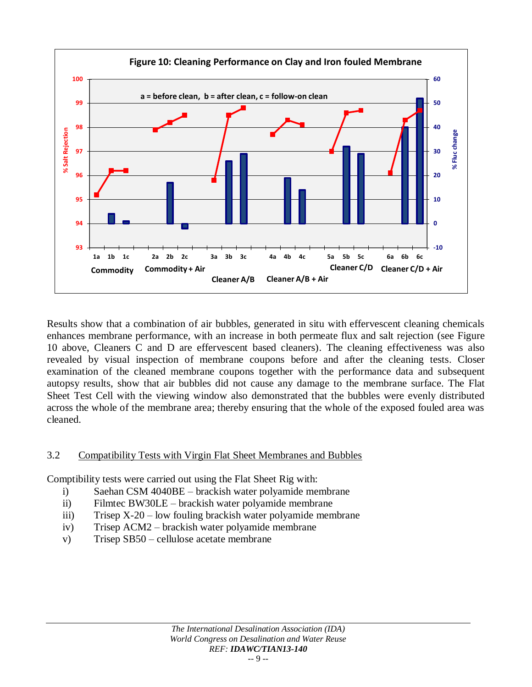

Results show that a combination of air bubbles, generated in situ with effervescent cleaning chemicals enhances membrane performance, with an increase in both permeate flux and salt rejection (see Figure 10 above, Cleaners C and D are effervescent based cleaners). The cleaning effectiveness was also revealed by visual inspection of membrane coupons before and after the cleaning tests. Closer examination of the cleaned membrane coupons together with the performance data and subsequent autopsy results, show that air bubbles did not cause any damage to the membrane surface. The Flat Sheet Test Cell with the viewing window also demonstrated that the bubbles were evenly distributed across the whole of the membrane area; thereby ensuring that the whole of the exposed fouled area was cleaned.

### 3.2 Compatibility Tests with Virgin Flat Sheet Membranes and Bubbles

Comptibility tests were carried out using the Flat Sheet Rig with:

- i) Saehan CSM 4040BE brackish water polyamide membrane
- ii) Filmtec BW30LE brackish water polyamide membrane
- iii) Trisep X-20 low fouling brackish water polyamide membrane
- iv) Trisep ACM2 brackish water polyamide membrane
- v) Trisep SB50 cellulose acetate membrane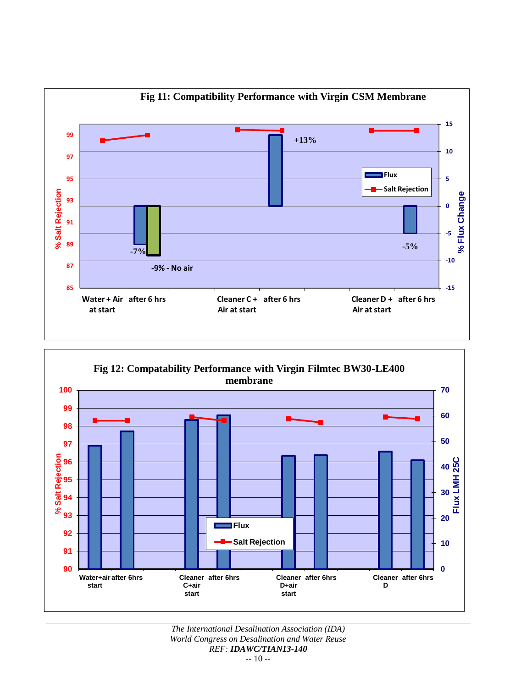

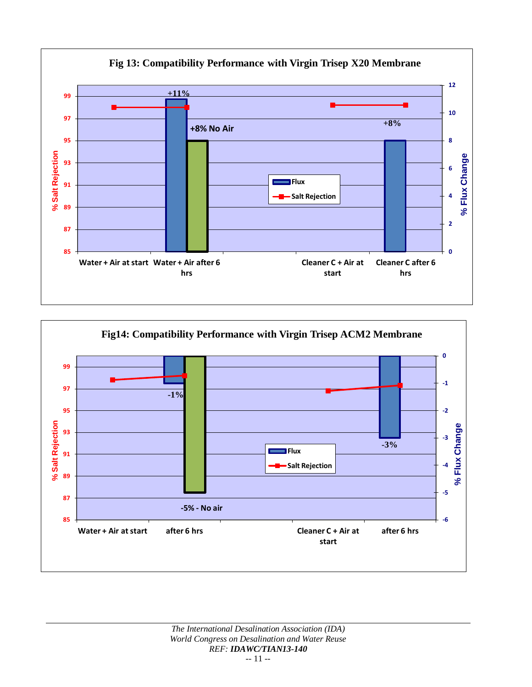

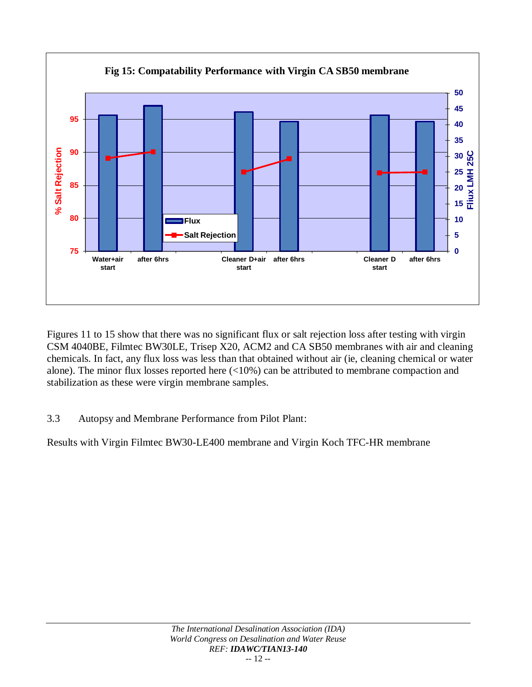

Figures 11 to 15 show that there was no significant flux or salt rejection loss after testing with virgin CSM 4040BE, Filmtec BW30LE, Trisep X20, ACM2 and CA SB50 membranes with air and cleaning chemicals. In fact, any flux loss was less than that obtained without air (ie, cleaning chemical or water alone). The minor flux losses reported here (<10%) can be attributed to membrane compaction and stabilization as these were virgin membrane samples.

## 3.3 Autopsy and Membrane Performance from Pilot Plant:

Results with Virgin Filmtec BW30-LE400 membrane and Virgin Koch TFC-HR membrane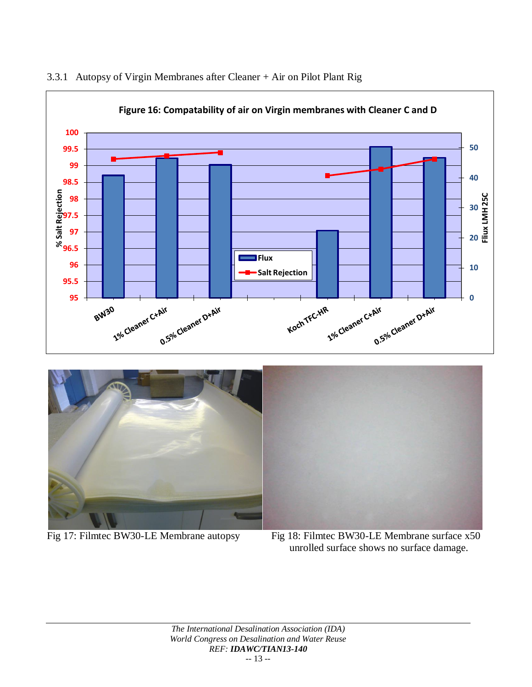

#### 3.3.1 Autopsy of Virgin Membranes after Cleaner + Air on Pilot Plant Rig



Fig 17: Filmtec BW30-LE Membrane autopsy Fig 18: Filmtec BW30-LE Membrane surface x50

unrolled surface shows no surface damage.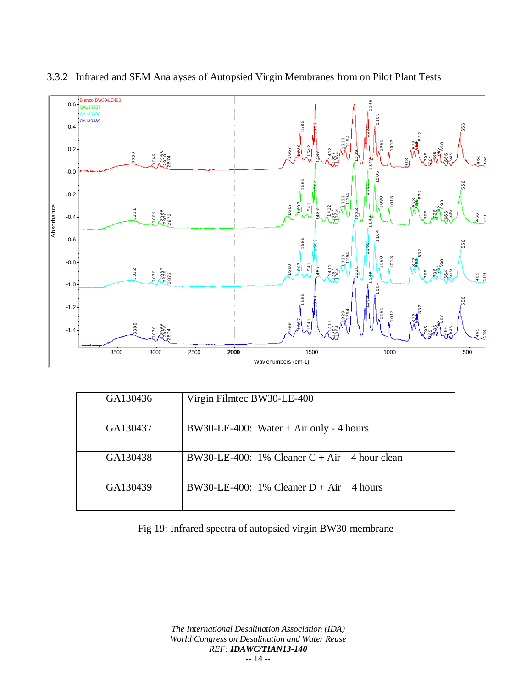

### 3.3.2 Infrared and SEM Analayses of Autopsied Virgin Membranes from on Pilot Plant Tests

| GA130436 | Virgin Filmtec BW30-LE-400                       |
|----------|--------------------------------------------------|
| GA130437 | BW30-LE-400: Water + Air only - 4 hours          |
| GA130438 | BW30-LE-400: 1% Cleaner $C + Air - 4$ hour clean |
| GA130439 | BW30-LE-400: 1% Cleaner $D + Air - 4$ hours      |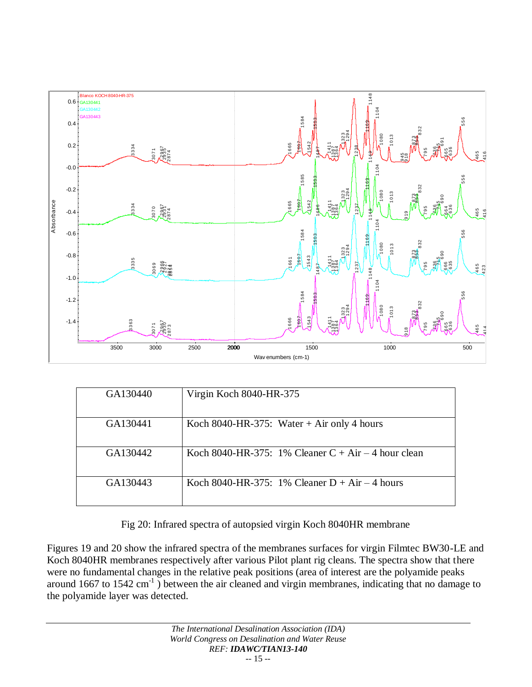

| GA130440 | Virgin Koch 8040-HR-375                               |
|----------|-------------------------------------------------------|
| GA130441 | Koch 8040-HR-375: Water + Air only 4 hours            |
| GA130442 | Koch 8040-HR-375: 1% Cleaner $C + Air - 4$ hour clean |
| GA130443 | Koch 8040-HR-375: 1% Cleaner $D + Air - 4$ hours      |

Fig 20: Infrared spectra of autopsied virgin Koch 8040HR membrane

Figures 19 and 20 show the infrared spectra of the membranes surfaces for virgin Filmtec BW30-LE and Koch 8040HR membranes respectively after various Pilot plant rig cleans. The spectra show that there were no fundamental changes in the relative peak positions (area of interest are the polyamide peaks around 1667 to 1542  $\text{cm}^{-1}$ ) between the air cleaned and virgin membranes, indicating that no damage to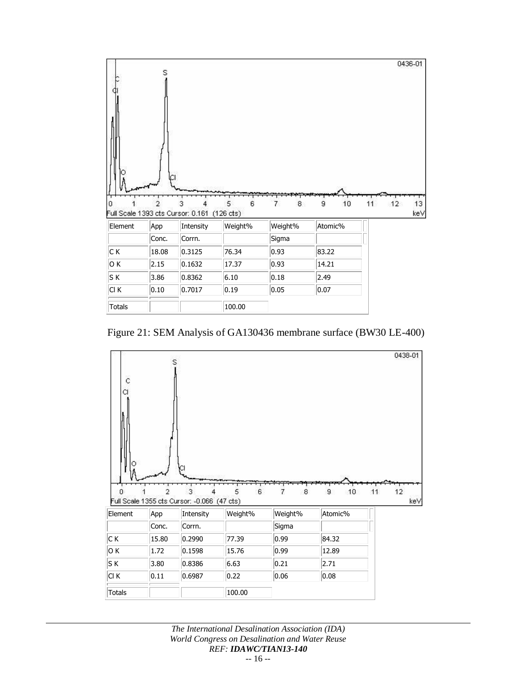

Figure 21: SEM Analysis of GA130436 membrane surface (BW30 LE-400)

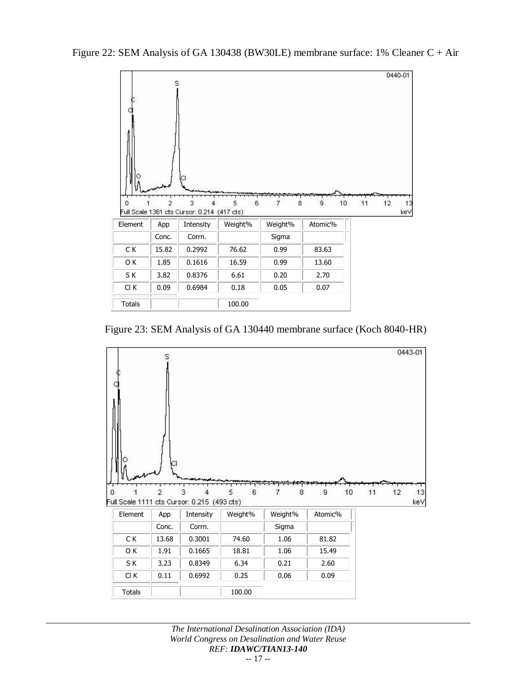Figure 22: SEM Analysis of GA 130438 (BW30LE) membrane surface: 1% Cleaner C + Air



Figure 23: SEM Analysis of GA 130440 membrane surface (Koch 8040-HR)



*The International Desalination Association (IDA) World Congress on Desalination and Water Reuse REF: IDAWC/TIAN13-140 -*- 17 --